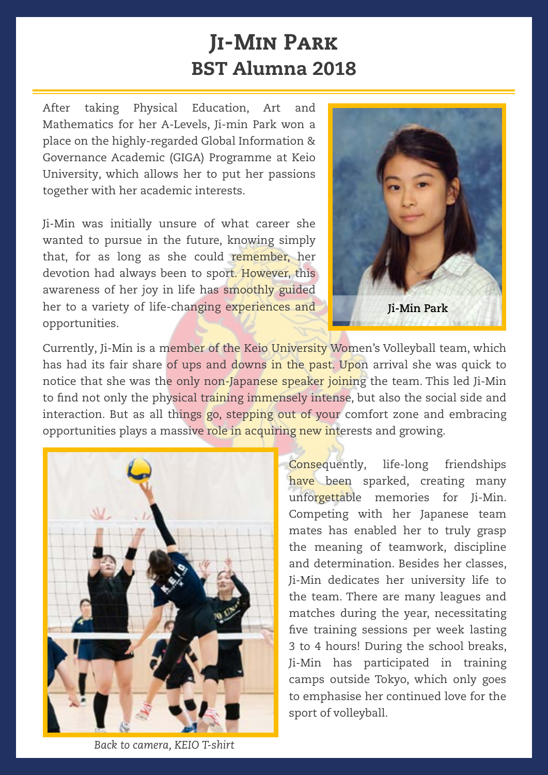## Ji-Min Park BST Alumna 2018

After taking Physical Education, Art and Mathematics for her A-Levels, Ji-min Park won a place on the highly-regarded Global Information & Governance Academic (GIGA) Programme at Keio University, which allows her to put her passions together with her academic interests.

Ji-Min was initially unsure of what career she wanted to pursue in the future, knowing simply that, for as long as she could remember, her devotion had always been to sport. However, this awareness of her joy in life has smoothly guided her to a variety of life-changing experiences and opportunities.



Currently, Ji-Min is a member of the Keio University Women's Volleyball team, which has had its fair share of ups and downs in the past. Upon arrival she was quick to notice that she was the only non-Japanese speaker joining the team. This led Ji-Min to find not only the physical training immensely intense, but also the social side and interaction. But as all things go, stepping out of your comfort zone and embracing opportunities plays a massive role in acquiring new interests and growing.



Consequently, life-long friendships have been sparked, creating many unforgettable memories for Ji-Min. Competing with her Japanese team mates has enabled her to truly grasp the meaning of teamwork, discipline and determination. Besides her classes, Ji-Min dedicates her university life to the team. There are many leagues and matches during the year, necessitating five training sessions per week lasting 3 to 4 hours! During the school breaks, Ji-Min has participated in training camps outside Tokyo, which only goes to emphasise her continued love for the sport of volleyball.

*Back to camera, KEIO T-shirt*